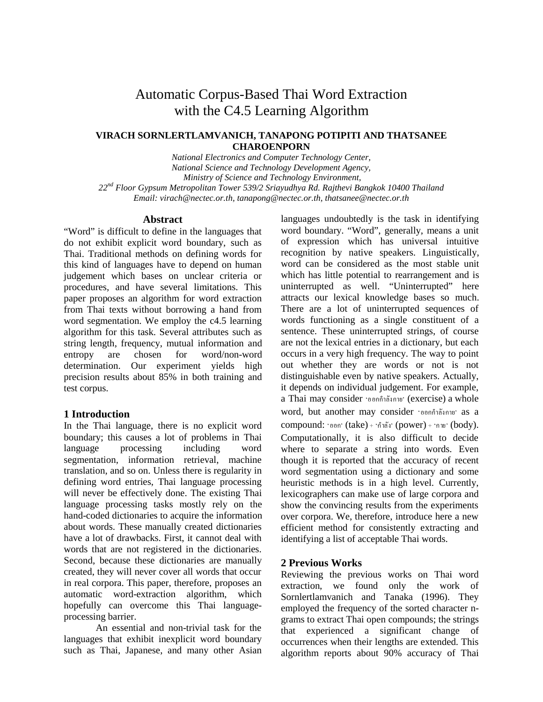# Automatic Corpus-Based Thai Word Extraction with the C4.5 Learning Algorithm

#### **VIRACH SORNLERTLAMVANICH, TANAPONG POTIPITI AND THATSANEE CHAROENPORN**

*National Electronics and Computer Technology Center, National Science and Technology Development Agency, Ministry of Science and Technology Environment, 22nd Floor Gypsum Metropolitan Tower 539/2 Sriayudhya Rd. Rajthevi Bangkok 10400 Thailand Email: virach@nectec.or.th, tanapong@nectec.or.th, thatsanee@nectec.or.th*

#### **Abstract**

"Word" is difficult to define in the languages that do not exhibit explicit word boundary, such as Thai. Traditional methods on defining words for this kind of languages have to depend on human judgement which bases on unclear criteria or procedures, and have several limitations. This paper proposes an algorithm for word extraction from Thai texts without borrowing a hand from word segmentation. We employ the c4.5 learning algorithm for this task. Several attributes such as string length, frequency, mutual information and entropy are chosen for word/non-word determination. Our experiment yields high precision results about 85% in both training and test corpus.

## **1 Introduction**

In the Thai language, there is no explicit word boundary; this causes a lot of problems in Thai language processing including word segmentation, information retrieval, machine translation, and so on. Unless there is regularity in defining word entries, Thai language processing will never be effectively done. The existing Thai language processing tasks mostly rely on the hand-coded dictionaries to acquire the information about words. These manually created dictionaries have a lot of drawbacks. First, it cannot deal with words that are not registered in the dictionaries. Second, because these dictionaries are manually created, they will never cover all words that occur in real corpora. This paper, therefore, proposes an automatic word-extraction algorithm, which hopefully can overcome this Thai languageprocessing barrier.

An essential and non-trivial task for the languages that exhibit inexplicit word boundary such as Thai, Japanese, and many other Asian languages undoubtedly is the task in identifying word boundary. "Word", generally, means a unit of expression which has universal intuitive recognition by native speakers. Linguistically, word can be considered as the most stable unit which has little potential to rearrangement and is uninterrupted as well. "Uninterrupted" here attracts our lexical knowledge bases so much. There are a lot of uninterrupted sequences of words functioning as a single constituent of a sentence. These uninterrupted strings, of course are not the lexical entries in a dictionary, but each occurs in a very high frequency. The way to point out whether they are words or not is not distinguishable even by native speakers. Actually, it depends on individual judgement. For example, a Thai may consider 'ponnant (exercise) a whole word, but another may consider 'vonnasmo' as a compound: ' $\mathfrak{v}$ <sup>u</sup> (take) + 'n<sup>18</sup>' (power) + 'n18' (body). Computationally, it is also difficult to decide where to separate a string into words. Even though it is reported that the accuracy of recent word segmentation using a dictionary and some heuristic methods is in a high level. Currently, lexicographers can make use of large corpora and show the convincing results from the experiments over corpora. We, therefore, introduce here a new efficient method for consistently extracting and identifying a list of acceptable Thai words.

## **2 Previous Works**

Reviewing the previous works on Thai word extraction, we found only the work of Sornlertlamvanich and Tanaka (1996). They employed the frequency of the sorted character ngrams to extract Thai open compounds; the strings that experienced a significant change of occurrences when their lengths are extended. This algorithm reports about 90% accuracy of Thai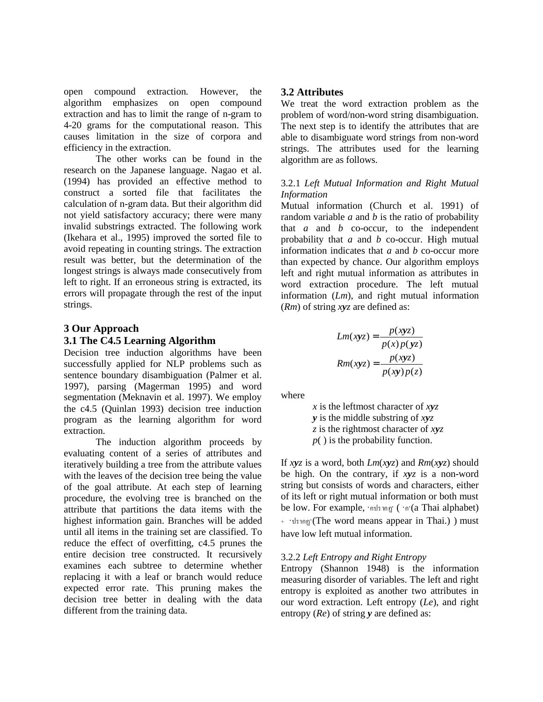open compound extraction. However, the algorithm emphasizes on open compound extraction and has to limit the range of n-gram to 4-20 grams for the computational reason. This causes limitation in the size of corpora and efficiency in the extraction.

The other works can be found in the research on the Japanese language. Nagao et al. (1994) has provided an effective method to construct a sorted file that facilitates the calculation of n-gram data. But their algorithm did not yield satisfactory accuracy; there were many invalid substrings extracted. The following work (Ikehara et al., 1995) improved the sorted file to avoid repeating in counting strings. The extraction result was better, but the determination of the longest strings is always made consecutively from left to right. If an erroneous string is extracted, its errors will propagate through the rest of the input strings.

## **3 Our Approach 3.1 The C4.5 Learning Algorithm**

Decision tree induction algorithms have been successfully applied for NLP problems such as sentence boundary disambiguation (Palmer et al. 1997), parsing (Magerman 1995) and word segmentation (Meknavin et al. 1997). We employ the c4.5 (Quinlan 1993) decision tree induction program as the learning algorithm for word extraction.

The induction algorithm proceeds by evaluating content of a series of attributes and iteratively building a tree from the attribute values with the leaves of the decision tree being the value of the goal attribute. At each step of learning procedure, the evolving tree is branched on the attribute that partitions the data items with the highest information gain. Branches will be added until all items in the training set are classified. To reduce the effect of overfitting, c4.5 prunes the entire decision tree constructed. It recursively examines each subtree to determine whether replacing it with a leaf or branch would reduce expected error rate. This pruning makes the decision tree better in dealing with the data different from the training data.

## **3.2 Attributes**

We treat the word extraction problem as the problem of word/non-word string disambiguation. The next step is to identify the attributes that are able to disambiguate word strings from non-word strings. The attributes used for the learning algorithm are as follows.

## 3.2.1 *Left Mutual Information and Right Mutual Information*

Mutual information (Church et al. 1991) of random variable *a* and *b* is the ratio of probability that *a* and *b* co-occur, to the independent probability that *a* and *b* co-occur. High mutual information indicates that *a* and *b* co-occur more than expected by chance. Our algorithm employs left and right mutual information as attributes in word extraction procedure. The left mutual information (*Lm*), and right mutual information (*Rm*) of string *xyz* are defined as:

$$
Lm(xyz) = \frac{p(xyz)}{p(x)p(yz)}
$$

$$
Rm(xyz) = \frac{p(xyz)}{p(xy)p(z)}
$$

where

*x* is the leftmost character of *xyz y* is the middle substring of *xyz z* is the rightmost character of *xyz p*( ) is the probability function.

If *xy*<sub>*z*</sub> is a word, both *Lm*(*xyz*) and *Rm*(*xyz*) should be high. On the contrary, if *xyz* is a non-word string but consists of words and characters, either of its left or right mutual information or both must be low. For example, 'nulsing' ( 'n'(a Thai alphabet) the vord means appear in Thai.) ) must have low left mutual information.

## 3.2.2 *Left Entropy and Right Entropy*

Entropy (Shannon 1948) is the information measuring disorder of variables. The left and right entropy is exploited as another two attributes in our word extraction. Left entropy (*Le*), and right entropy (*Re*) of string *y* are defined as: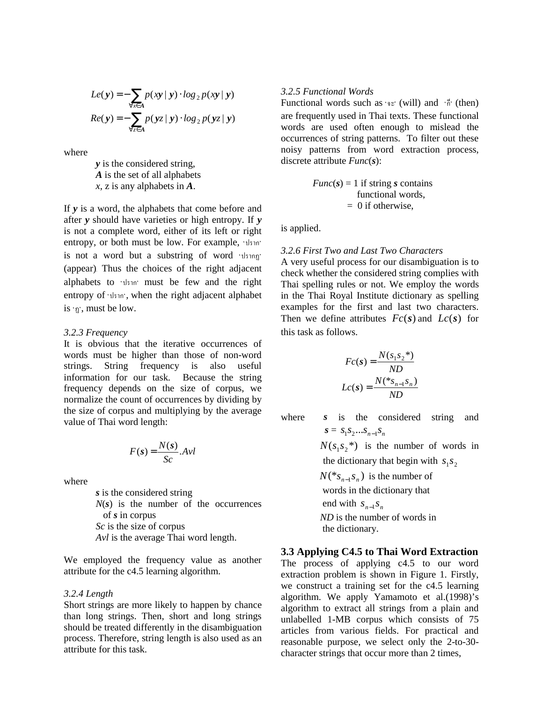$$
Le(\mathbf{y}) = -\sum_{\forall x \in A} p(xy \mid \mathbf{y}) \cdot \log_2 p(xy \mid \mathbf{y})
$$

$$
Re(\mathbf{y}) = -\sum_{\forall z \in A} p(\mathbf{y}z \mid \mathbf{y}) \cdot \log_2 p(\mathbf{y}z \mid \mathbf{y})
$$

where

*y* is the considered string, *A* is the set of all alphabets *x*, z is any alphabets in *A*.

If *y* is a word, the alphabets that come before and after *y* should have varieties or high entropy. If *y* is not a complete word, either of its left or right entropy, or both must be low. For example, '11510' is not a word but a substring of word  $\Delta$ <sub>uing</sub> (appear) Thus the choices of the right adjacent alphabets to 'ulsin' must be few and the right entropy of them, when the right adjacent alphabet is  $\eta$ , must be low.

#### *3.2.3 Frequency*

It is obvious that the iterative occurrences of words must be higher than those of non-word strings. String frequency is also useful information for our task. Because the string frequency depends on the size of corpus, we normalize the count of occurrences by dividing by the size of corpus and multiplying by the average value of Thai word length:

$$
F(s) = \frac{N(s)}{Sc} Avl
$$

where

*s* is the considered string  $N(s)$  is the number of the occurrences of *s* in corpus *Sc* is the size of corpus *Avl* is the average Thai word length.

We employed the frequency value as another attribute for the c4.5 learning algorithm.

#### *3.2.4 Length*

Short strings are more likely to happen by chance than long strings. Then, short and long strings should be treated differently in the disambiguation process. Therefore, string length is also used as an attribute for this task.

## *3.2.5 Functional Words*

Functional words such as  $v\in W$  (will) and  $\phi$ <sup>n</sup> (then) are frequently used in Thai texts. These functional words are used often enough to mislead the occurrences of string patterns. To filter out these noisy patterns from word extraction process, discrete attribute *Func*(*s*):

$$
Func(s) = 1 \text{ if string } s \text{ contains } \text{functional words,} \\ = 0 \text{ if otherwise,}
$$

is applied.

## *3.2.6 First Two and Last Two Characters*

A very useful process for our disambiguation is to check whether the considered string complies with Thai spelling rules or not. We employ the words in the Thai Royal Institute dictionary as spelling examples for the first and last two characters. Then we define attributes  $Fc(s)$  and  $Lc(s)$  for this task as follows.

$$
Fc(s) = \frac{N(s_1s_2^*)}{ND}
$$

$$
Lc(s) = \frac{N(^*s_{n-1}s_n)}{ND}
$$

where *s* is the considered string and  $s = S_1 S_2 ... S_{n-1} S_n$ 

> $N(s_1 s_2^*)$  is the number of words in the dictionary that begin with  $s_1 s_2$

 $N(*s_{n-1} s_n)$  is the number of words in the dictionary that end with  $S_{n-1}S_n$  *ND* is the number of words in the dictionary.

#### **3.3 Applying C4.5 to Thai Word Extraction**

The process of applying c4.5 to our word extraction problem is shown in Figure 1. Firstly, we construct a training set for the c4.5 learning algorithm. We apply Yamamoto et al.(1998)'s algorithm to extract all strings from a plain and unlabelled 1-MB corpus which consists of 75 articles from various fields. For practical and reasonable purpose, we select only the 2-to-30 character strings that occur more than 2 times,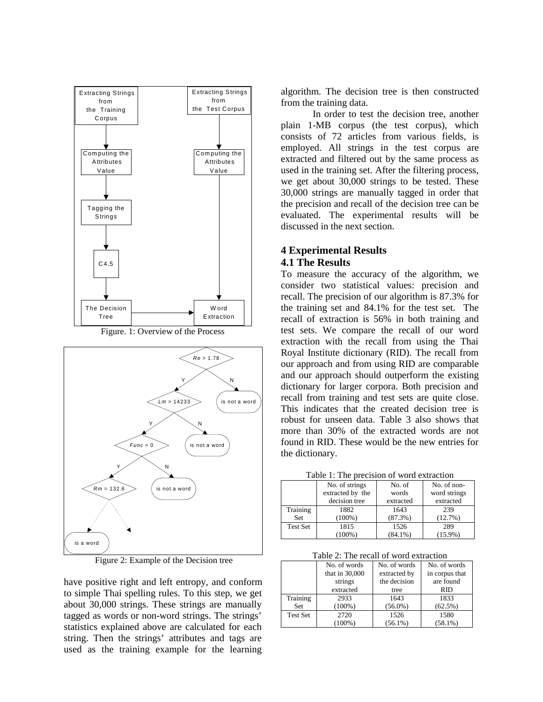



Figure 2: Example of the Decision tree

have positive right and left entropy, and conform to simple Thai spelling rules. To this step, we get about 30,000 strings. These strings are manually tagged as words or non-word strings. The strings' statistics explained above are calculated for each string. Then the strings' attributes and tags are used as the training example for the learning algorithm. The decision tree is then constructed from the training data.

In order to test the decision tree, another plain 1-MB corpus (the test corpus), which consists of 72 articles from various fields, is employed. All strings in the test corpus are extracted and filtered out by the same process as used in the training set. After the filtering process, we get about 30,000 strings to be tested. These 30,000 strings are manually tagged in order that the precision and recall of the decision tree can be evaluated. The experimental results will be discussed in the next section.

## **4 Experimental Results 4.1 The Results**

To measure the accuracy of the algorithm, we consider two statistical values: precision and recall. The precision of our algorithm is 87.3% for the training set and 84.1% for the test set. The recall of extraction is 56% in both training and test sets. We compare the recall of our word extraction with the recall from using the Thai Royal Institute dictionary (RID). The recall from our approach and from using RID are comparable and our approach should outperform the existing dictionary for larger corpora. Both precision and recall from training and test sets are quite close. This indicates that the created decision tree is robust for unseen data. Table 3 also shows that more than 30% of the extracted words are not found in RID. These would be the new entries for the dictionary.

Table 1: The precision of word extraction

| I avie 1. The precision of word extraction |                  |            |              |  |  |
|--------------------------------------------|------------------|------------|--------------|--|--|
|                                            | No. of strings   | No. of     | No. of non-  |  |  |
|                                            | extracted by the | words      | word strings |  |  |
|                                            | decision tree    | extracted  | extracted    |  |  |
| Training                                   | 1882             | 1643       | 239          |  |  |
| Set                                        | $(100\%)$        | (87.3%)    | (12.7%)      |  |  |
| <b>Test Set</b>                            | 1815             | 1526       | 289          |  |  |
|                                            | $(100\%)$        | $(84.1\%)$ | $(15.9\%)$   |  |  |

Table 2: The recall of word extraction

|                 | No. of words   | No. of words | No. of words   |
|-----------------|----------------|--------------|----------------|
|                 | that in 30,000 | extracted by | in corpus that |
|                 | strings        | the decision | are found      |
|                 | extracted      | tree         | RID.           |
| Training        | 2933           | 1643         | 1833           |
| Set             | $(100\%)$      | $(56.0\%)$   | (62.5%)        |
| <b>Test Set</b> | 2720           | 1526         | 1580           |
|                 | $(100\%)$      | $(56.1\%)$   | $(58.1\%)$     |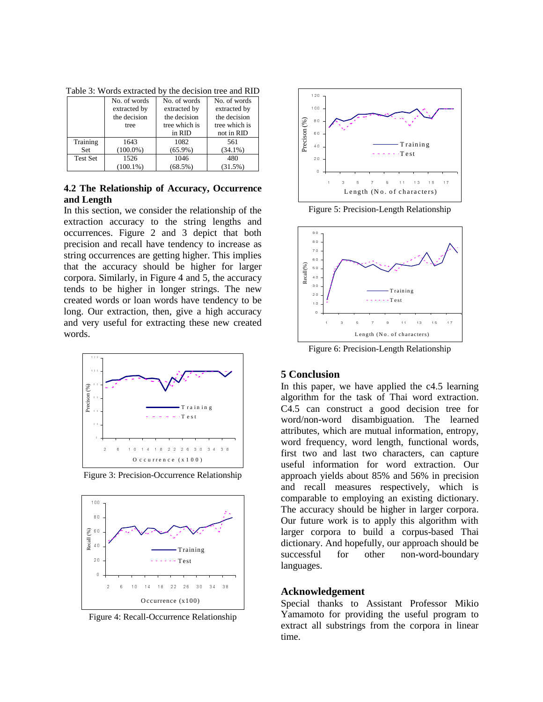|                 | No. of words | No. of words  | No. of words  |
|-----------------|--------------|---------------|---------------|
|                 | extracted by | extracted by  | extracted by  |
|                 | the decision | the decision  | the decision  |
|                 | tree         | tree which is | tree which is |
|                 |              | in RID        | not in RID    |
| Training        | 1643         | 1082          | 561           |
| Set             | $(100.0\%)$  | $(65.9\%)$    | $(34.1\%)$    |
| <b>Test Set</b> | 1526         | 1046          | 480           |
|                 | $(100.1\%)$  | (68.5%)       | (31.5%)       |

Table 3: Words extracted by the decision tree and RID

## **4.2 The Relationship of Accuracy, Occurrence and Length**

In this section, we consider the relationship of the extraction accuracy to the string lengths and occurrences. Figure 2 and 3 depict that both precision and recall have tendency to increase as string occurrences are getting higher. This implies that the accuracy should be higher for larger corpora. Similarly, in Figure 4 and 5, the accuracy tends to be higher in longer strings. The new created words or loan words have tendency to be long. Our extraction, then, give a high accuracy and very useful for extracting these new created words.



Figure 3: Precision-Occurrence Relationship



Figure 4: Recall-Occurrence Relationship



Figure 5: Precision-Length Relationship



Figure 6: Precision-Length Relationship

## **5 Conclusion**

In this paper, we have applied the c4.5 learning algorithm for the task of Thai word extraction. C4.5 can construct a good decision tree for word/non-word disambiguation. The learned attributes, which are mutual information, entropy, word frequency, word length, functional words, first two and last two characters, can capture useful information for word extraction. Our approach yields about 85% and 56% in precision and recall measures respectively, which is comparable to employing an existing dictionary. The accuracy should be higher in larger corpora. Our future work is to apply this algorithm with larger corpora to build a corpus-based Thai dictionary. And hopefully, our approach should be successful for other non-word-boundary languages.

#### **Acknowledgement**

Special thanks to Assistant Professor Mikio Yamamoto for providing the useful program to extract all substrings from the corpora in linear time.